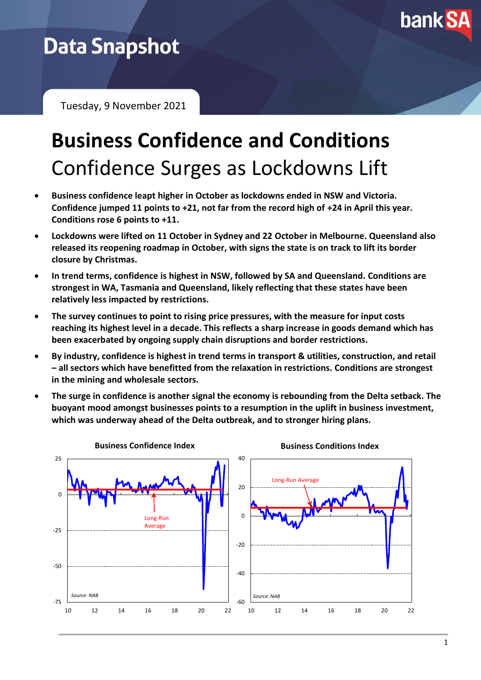

# **Data Snapshot**

Tuesday, 9 November 2021

# **Business Confidence and Conditions** Confidence Surges as Lockdowns Lift

- **Business confidence leapt higher in October as lockdowns ended in NSW and Victoria. Confidence jumped 11 points to +21, not far from the record high of +24 in April this year. Conditions rose 6 points to +11.**
- **Lockdowns were lifted on 11 October in Sydney and 22 October in Melbourne. Queensland also released its reopening roadmap in October, with signs the state is on track to lift its border closure by Christmas.**
- **In trend terms, confidence is highest in NSW, followed by SA and Queensland. Conditions are strongest in WA, Tasmania and Queensland, likely reflecting that these states have been relatively less impacted by restrictions.**
- **The survey continues to point to rising price pressures, with the measure for input costs reaching its highest level in a decade. This reflects a sharp increase in goods demand which has been exacerbated by ongoing supply chain disruptions and border restrictions.**
- **By industry, confidence is highest in trend terms in transport & utilities, construction, and retail – all sectors which have benefitted from the relaxation in restrictions. Conditions are strongest in the mining and wholesale sectors.**
- **The surge in confidence is another signal the economy is rebounding from the Delta setback. The buoyant mood amongst businesses points to a resumption in the uplift in business investment, which was underway ahead of the Delta outbreak, and to stronger hiring plans.**

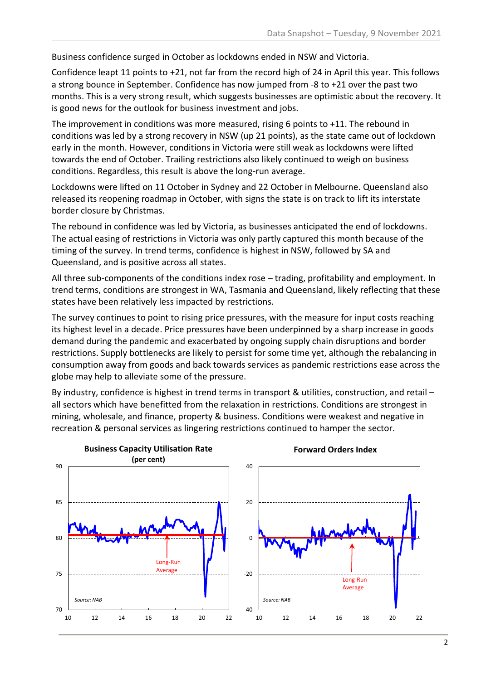Business confidence surged in October as lockdowns ended in NSW and Victoria.

Confidence leapt 11 points to +21, not far from the record high of 24 in April this year. This follows a strong bounce in September. Confidence has now jumped from -8 to +21 over the past two months. This is a very strong result, which suggests businesses are optimistic about the recovery. It is good news for the outlook for business investment and jobs.

The improvement in conditions was more measured, rising 6 points to +11. The rebound in conditions was led by a strong recovery in NSW (up 21 points), as the state came out of lockdown early in the month. However, conditions in Victoria were still weak as lockdowns were lifted towards the end of October. Trailing restrictions also likely continued to weigh on business conditions. Regardless, this result is above the long-run average.

Lockdowns were lifted on 11 October in Sydney and 22 October in Melbourne. Queensland also released its reopening roadmap in October, with signs the state is on track to lift its interstate border closure by Christmas.

The rebound in confidence was led by Victoria, as businesses anticipated the end of lockdowns. The actual easing of restrictions in Victoria was only partly captured this month because of the timing of the survey. In trend terms, confidence is highest in NSW, followed by SA and Queensland, and is positive across all states.

All three sub-components of the conditions index rose – trading, profitability and employment. In trend terms, conditions are strongest in WA, Tasmania and Queensland, likely reflecting that these states have been relatively less impacted by restrictions.

The survey continues to point to rising price pressures, with the measure for input costs reaching its highest level in a decade. Price pressures have been underpinned by a sharp increase in goods demand during the pandemic and exacerbated by ongoing supply chain disruptions and border restrictions. Supply bottlenecks are likely to persist for some time yet, although the rebalancing in consumption away from goods and back towards services as pandemic restrictions ease across the globe may help to alleviate some of the pressure.

By industry, confidence is highest in trend terms in transport & utilities, construction, and retail all sectors which have benefitted from the relaxation in restrictions. Conditions are strongest in mining, wholesale, and finance, property & business. Conditions were weakest and negative in recreation & personal services as lingering restrictions continued to hamper the sector.

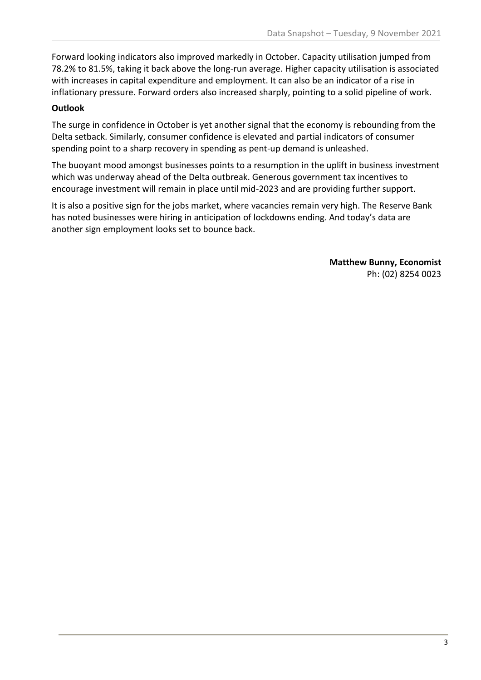Forward looking indicators also improved markedly in October. Capacity utilisation jumped from 78.2% to 81.5%, taking it back above the long-run average. Higher capacity utilisation is associated with increases in capital expenditure and employment. It can also be an indicator of a rise in inflationary pressure. Forward orders also increased sharply, pointing to a solid pipeline of work.

## **Outlook**

The surge in confidence in October is yet another signal that the economy is rebounding from the Delta setback. Similarly, consumer confidence is elevated and partial indicators of consumer spending point to a sharp recovery in spending as pent-up demand is unleashed.

The buoyant mood amongst businesses points to a resumption in the uplift in business investment which was underway ahead of the Delta outbreak. Generous government tax incentives to encourage investment will remain in place until mid-2023 and are providing further support.

It is also a positive sign for the jobs market, where vacancies remain very high. The Reserve Bank has noted businesses were hiring in anticipation of lockdowns ending. And today's data are another sign employment looks set to bounce back.

> **Matthew Bunny, Economist** Ph: (02) 8254 0023